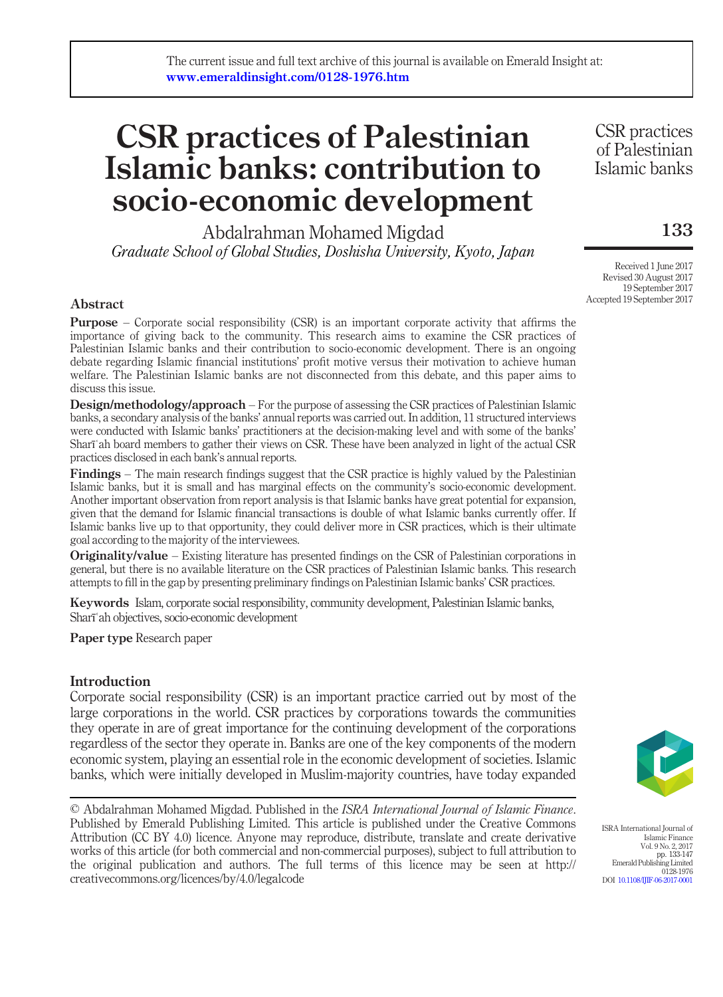# CSR practices of Palestinian Islamic banks: contribution to socio-economic development

Abdalrahman Mohamed Migdad Graduate School of Global Studies, Doshisha University, Kyoto, Japan

Abstract

**Purpose** – Corporate social responsibility (CSR) is an important corporate activity that affirms the importance of giving back to the community. This research aims to examine the CSR practices of Palestinian Islamic banks and their contribution to socio-economic development. There is an ongoing debate regarding Islamic financial institutions' profit motive versus their motivation to achieve human welfare. The Palestinian Islamic banks are not disconnected from this debate, and this paper aims to discuss this issue.

Design/methodology/approach – For the purpose of assessing the CSR practices of Palestinian Islamic banks, a secondary analysis of the banks' annual reports was carried out. In addition, 11 structured interviews were conducted with Islamic banks' practitioners at the decision-making level and with some of the banks' Sharīʿah board members to gather their views on CSR. These have been analyzed in light of the actual CSR practices disclosed in each bank's annual reports.

Findings – The main research findings suggest that the CSR practice is highly valued by the Palestinian Islamic banks, but it is small and has marginal effects on the community's socio-economic development. Another important observation from report analysis is that Islamic banks have great potential for expansion, given that the demand for Islamic financial transactions is double of what Islamic banks currently offer. If Islamic banks live up to that opportunity, they could deliver more in CSR practices, which is their ultimate goal according to the majority of the interviewees.

Originality/value – Existing literature has presented findings on the CSR of Palestinian corporations in general, but there is no available literature on the CSR practices of Palestinian Islamic banks. This research attempts to fill in the gap by presenting preliminary findings on Palestinian Islamic banks' CSR practices.

Keywords Islam, corporate social responsibility, community development, Palestinian Islamic banks, Sharīʿah objectives, socio-economic development

Paper type Research paper

# Introduction

Corporate social responsibility (CSR) is an important practice carried out by most of the large corporations in the world. CSR practices by corporations towards the communities they operate in are of great importance for the continuing development of the corporations regardless of the sector they operate in. Banks are one of the key components of the modern economic system, playing an essential role in the economic development of societies. Islamic banks, which were initially developed in Muslim-majority countries, have today expanded

© Abdalrahman Mohamed Migdad. Published in the ISRA International Journal of Islamic Finance. Published by Emerald Publishing Limited. This article is published under the Creative Commons Attribution (CC BY 4.0) licence. Anyone may reproduce, distribute, translate and create derivative works of this article (for both commercial and non-commercial purposes), subject to full attribution to the original publication and authors. The full terms of this licence may be seen at http:// creativecommons.org/licences/by/4.0/legalcode

CSR practices of Palestinian Islamic banks

133

Received 1 June 2017 Revised 30 August 2017 19 September 2017 Accepted 19 September 2017



ISRA International Journal of Islamic Finance Vol. 9 No. 2, 2017 pp. 133-147 Emerald Publishing Limited 0128-1976 DOI [10.1108/IJIF-06-2017-0001](http://dx.doi.org/10.1108/IJIF-06-2017-0001)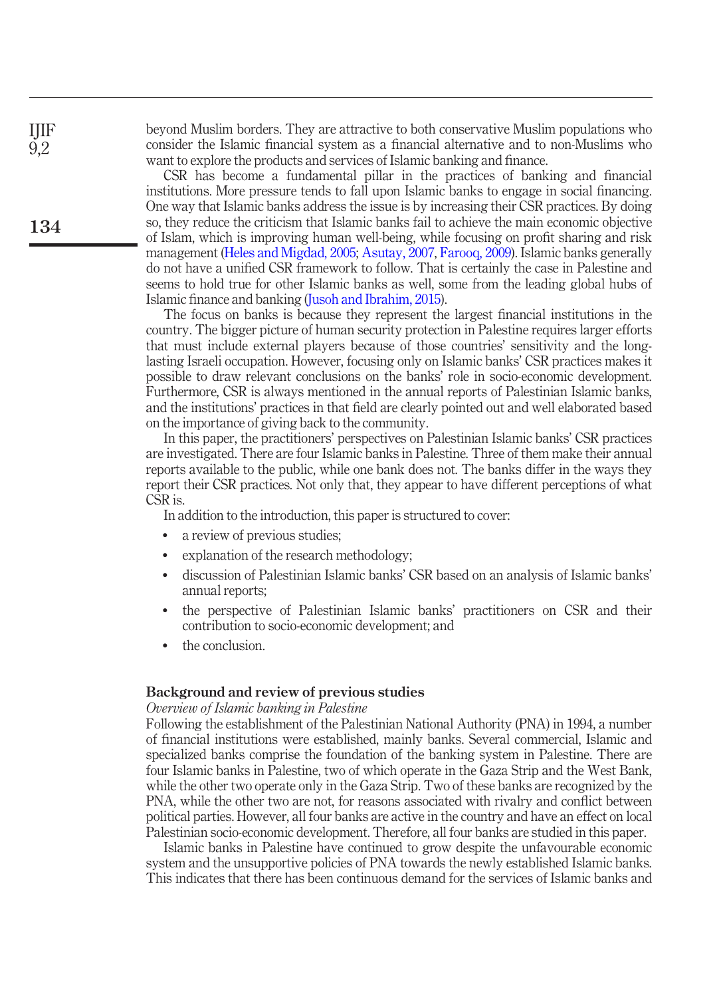beyond Muslim borders. They are attractive to both conservative Muslim populations who consider the Islamic financial system as a financial alternative and to non-Muslims who want to explore the products and services of Islamic banking and finance.

CSR has become a fundamental pillar in the practices of banking and financial institutions. More pressure tends to fall upon Islamic banks to engage in social financing. One way that Islamic banks address the issue is by increasing their CSR practices. By doing so, they reduce the criticism that Islamic banks fail to achieve the main economic objective of Islam, which is improving human well-being, while focusing on profit sharing and risk management [\(Heles and Migdad, 2005;](#page-12-0) [Asutay, 2007](#page-12-1), [Farooq, 2009\)](#page-12-2). Islamic banks generally do not have a unified CSR framework to follow. That is certainly the case in Palestine and seems to hold true for other Islamic banks as well, some from the leading global hubs of Islamic finance and banking [\(Jusoh and Ibrahim, 2015\)](#page-13-0).

The focus on banks is because they represent the largest financial institutions in the country. The bigger picture of human security protection in Palestine requires larger efforts that must include external players because of those countries' sensitivity and the longlasting Israeli occupation. However, focusing only on Islamic banks' CSR practices makes it possible to draw relevant conclusions on the banks' role in socio-economic development. Furthermore, CSR is always mentioned in the annual reports of Palestinian Islamic banks, and the institutions' practices in that field are clearly pointed out and well elaborated based on the importance of giving back to the community.

In this paper, the practitioners' perspectives on Palestinian Islamic banks' CSR practices are investigated. There are four Islamic banks in Palestine. Three of them make their annual reports available to the public, while one bank does not. The banks differ in the ways they report their CSR practices. Not only that, they appear to have different perceptions of what CSR is.

In addition to the introduction, this paper is structured to cover:

- a review of previous studies;
- explanation of the research methodology;
- discussion of Palestinian Islamic banks' CSR based on an analysis of Islamic banks' annual reports;
- the perspective of Palestinian Islamic banks' practitioners on CSR and their contribution to socio-economic development; and
- the conclusion.

# Background and review of previous studies

### Overview of Islamic banking in Palestine

Following the establishment of the Palestinian National Authority (PNA) in 1994, a number of financial institutions were established, mainly banks. Several commercial, Islamic and specialized banks comprise the foundation of the banking system in Palestine. There are four Islamic banks in Palestine, two of which operate in the Gaza Strip and the West Bank, while the other two operate only in the Gaza Strip. Two of these banks are recognized by the PNA, while the other two are not, for reasons associated with rivalry and conflict between political parties. However, all four banks are active in the country and have an effect on local Palestinian socio-economic development. Therefore, all four banks are studied in this paper.

Islamic banks in Palestine have continued to grow despite the unfavourable economic system and the unsupportive policies of PNA towards the newly established Islamic banks. This indicates that there has been continuous demand for the services of Islamic banks and

IJIF 9,2

134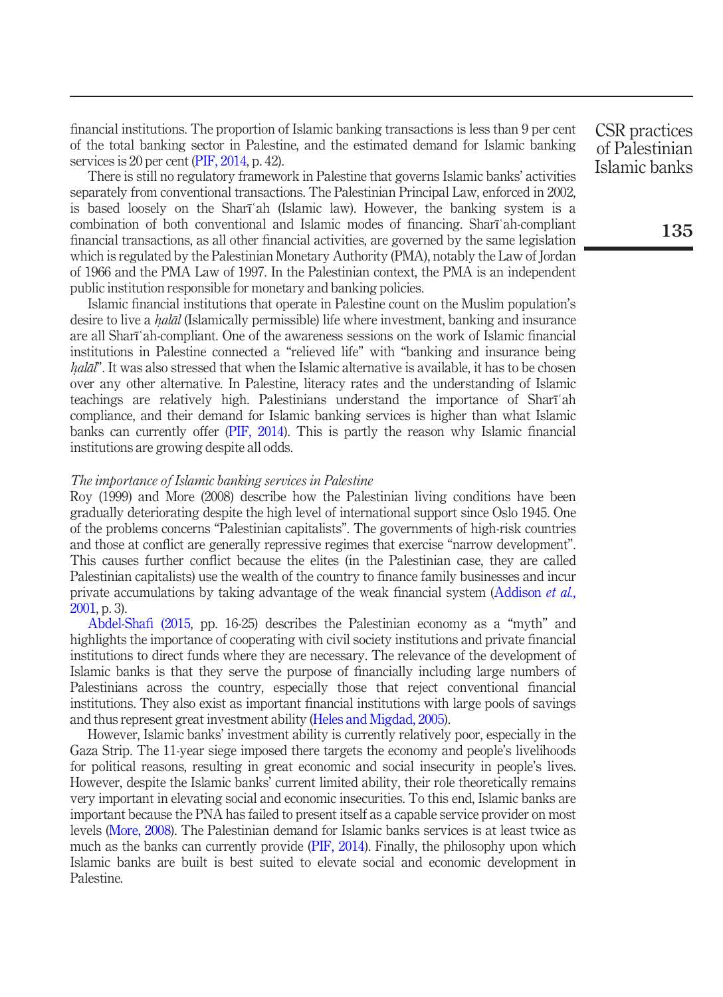financial institutions. The proportion of Islamic banking transactions is less than 9 per cent of the total banking sector in Palestine, and the estimated demand for Islamic banking services is 20 per cent [\(PIF, 2014](#page-13-1), p. 42).

There is still no regulatory framework in Palestine that governs Islamic banks' activities separately from conventional transactions. The Palestinian Principal Law, enforced in 2002, is based loosely on the Sharīʿah (Islamic law). However, the banking system is a combination of both conventional and Islamic modes of financing. Sharīʿah-compliant financial transactions, as all other financial activities, are governed by the same legislation which is regulated by the Palestinian Monetary Authority (PMA), notably the Law of Jordan of 1966 and the PMA Law of 1997. In the Palestinian context, the PMA is an independent public institution responsible for monetary and banking policies.

Islamic financial institutions that operate in Palestine count on the Muslim population's desire to live a *halāl* (Islamically permissible) life where investment, banking and insurance<br>are all Sharī'ah-compliant. One of the awareness sessions on the work of Islamic financial are all Sharīʿah-compliant. One of the awareness sessions on the work of Islamic financial institutions in Palestine connected a "relieved life" with "banking and insurance being over any other alternative. In Palestine, literacy rates and the understanding of Islamic  $hal\bar{\alpha}$ ". It was also stressed that when the Islamic alternative is available, it has to be chosen teachings are relatively high. Palestinians understand the importance of Sharīʿah compliance, and their demand for Islamic banking services is higher than what Islamic banks can currently offer [\(PIF, 2014\)](#page-13-1). This is partly the reason why Islamic financial institutions are growing despite all odds.

# The importance of Islamic banking services in Palestine

Roy (1999) and More (2008) describe how the Palestinian living conditions have been gradually deteriorating despite the high level of international support since Oslo 1945. One of the problems concerns "Palestinian capitalists". The governments of high-risk countries and those at conflict are generally repressive regimes that exercise "narrow development". This causes further conflict because the elites (in the Palestinian case, they are called Palestinian capitalists) use the wealth of the country to finance family businesses and incur private accumulations by taking advantage of the weak financial system [\(Addison](#page-12-3) *et al.*, [2001,](#page-12-3) p. 3).

[Abdel-Sha](#page-12-4)fi (2015, pp. 16-25) describes the Palestinian economy as a "myth" and highlights the importance of cooperating with civil society institutions and private financial institutions to direct funds where they are necessary. The relevance of the development of Islamic banks is that they serve the purpose of financially including large numbers of Palestinians across the country, especially those that reject conventional financial institutions. They also exist as important financial institutions with large pools of savings and thus represent great investment ability ([Heles and Migdad, 2005](#page-12-0)).

However, Islamic banks' investment ability is currently relatively poor, especially in the Gaza Strip. The 11-year siege imposed there targets the economy and people's livelihoods for political reasons, resulting in great economic and social insecurity in people's lives. However, despite the Islamic banks' current limited ability, their role theoretically remains very important in elevating social and economic insecurities. To this end, Islamic banks are important because the PNA has failed to present itself as a capable service provider on most levels ([More, 2008\)](#page-13-2). The Palestinian demand for Islamic banks services is at least twice as much as the banks can currently provide ([PIF, 2014\)](#page-13-1). Finally, the philosophy upon which Islamic banks are built is best suited to elevate social and economic development in Palestine.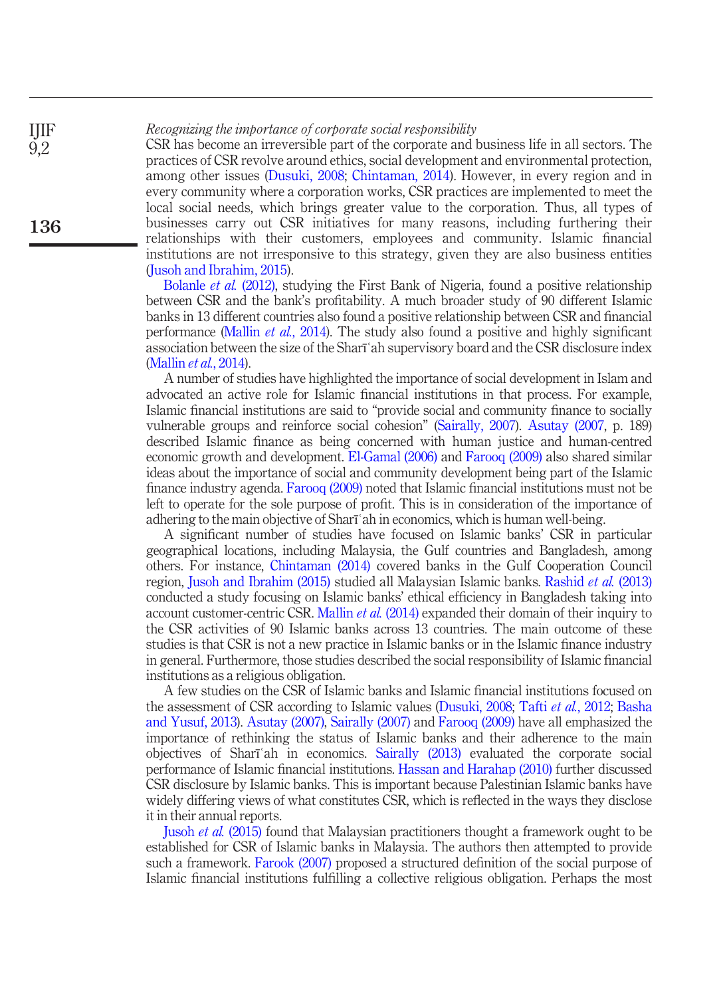Recognizing the importance of corporate social responsibility

IJIF 9,2

136

CSR has become an irreversible part of the corporate and business life in all sectors. The practices of CSR revolve around ethics, social development and environmental protection, among other issues [\(Dusuki, 2008](#page-12-5); [Chintaman, 2014](#page-12-6)). However, in every region and in every community where a corporation works, CSR practices are implemented to meet the local social needs, which brings greater value to the corporation. Thus, all types of businesses carry out CSR initiatives for many reasons, including furthering their relationships with their customers, employees and community. Islamic financial institutions are not irresponsive to this strategy, given they are also business entities [\(Jusoh and Ibrahim, 2015](#page-13-0)).

[Bolanle](#page-12-7) *et al.* (2012), studying the First Bank of Nigeria, found a positive relationship between CSR and the bank's profitability. A much broader study of 90 different Islamic banks in 13 different countries also found a positive relationship between CSR and financial performance [\(Mallin](#page-13-3) et al., 2014). The study also found a positive and highly significant association between the size of the Sharīʿah supervisory board and the CSR disclosure index [\(Mallin](#page-13-3) et al., 2014).

A number of studies have highlighted the importance of social development in Islam and advocated an active role for Islamic financial institutions in that process. For example, Islamic financial institutions are said to "provide social and community finance to socially vulnerable groups and reinforce social cohesion" ([Sairally, 2007\)](#page-13-4). [Asutay \(2007](#page-12-1), p. 189) described Islamic finance as being concerned with human justice and human-centred economic growth and development. [El-Gamal \(2006\)](#page-12-8) and [Farooq \(2009\)](#page-12-2) also shared similar ideas about the importance of social and community development being part of the Islamic finance industry agenda. [Farooq \(2009\)](#page-12-2) noted that Islamic financial institutions must not be left to operate for the sole purpose of profit. This is in consideration of the importance of adhering to the main objective of Sharīʿah in economics, which is human well-being.

A significant number of studies have focused on Islamic banks' CSR in particular geographical locations, including Malaysia, the Gulf countries and Bangladesh, among others. For instance, [Chintaman \(2014\)](#page-12-6) covered banks in the Gulf Cooperation Council region, [Jusoh and Ibrahim \(2015\)](#page-13-0) studied all Malaysian Islamic banks. [Rashid](#page-13-5) et al. (2013) conducted a study focusing on Islamic banks' ethical efficiency in Bangladesh taking into account customer-centric CSR. [Mallin](#page-13-3) *et al.* (2014) expanded their domain of their inquiry to the CSR activities of 90 Islamic banks across 13 countries. The main outcome of these studies is that CSR is not a new practice in Islamic banks or in the Islamic finance industry in general. Furthermore, those studies described the social responsibility of Islamic financial institutions as a religious obligation.

A few studies on the CSR of Islamic banks and Islamic financial institutions focused on the assessment of CSR according to Islamic values ([Dusuki, 2008;](#page-12-5) Tafti *et al.*[, 2012;](#page-13-6) [Basha](#page-12-9) [and Yusuf, 2013\)](#page-12-9). [Asutay \(2007\)](#page-12-1), [Sairally \(2007\)](#page-13-4) and [Farooq \(2009\)](#page-12-2) have all emphasized the importance of rethinking the status of Islamic banks and their adherence to the main objectives of Sharīʿah in economics. [Sairally \(2013\)](#page-13-7) evaluated the corporate social performance of Islamic financial institutions. [Hassan and Harahap \(2010\)](#page-12-10) further discussed CSR disclosure by Islamic banks. This is important because Palestinian Islamic banks have widely differing views of what constitutes CSR, which is reflected in the ways they disclose it in their annual reports.

Jusoh et al. [\(2015\)](#page-13-8) found that Malaysian practitioners thought a framework ought to be established for CSR of Islamic banks in Malaysia. The authors then attempted to provide such a framework. [Farook \(2007\)](#page-12-11) proposed a structured definition of the social purpose of Islamic financial institutions fulfilling a collective religious obligation. Perhaps the most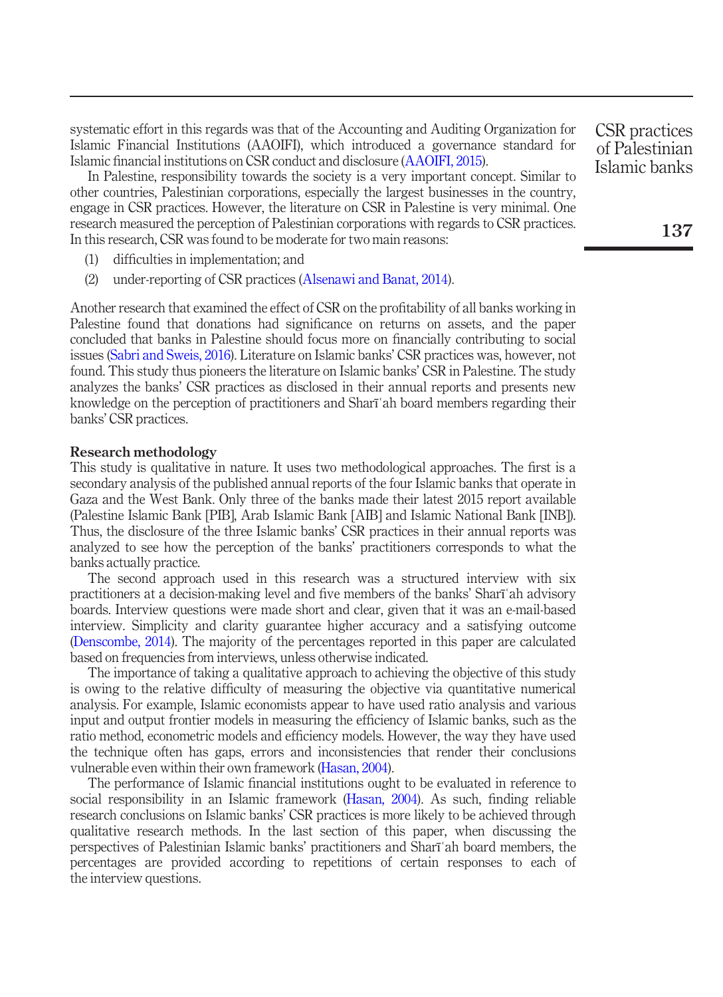systematic effort in this regards was that of the Accounting and Auditing Organization for Islamic Financial Institutions (AAOIFI), which introduced a governance standard for Islamic financial institutions on CSR conduct and disclosure [\(AAOIFI, 2015](#page-12-12)).

In Palestine, responsibility towards the society is a very important concept. Similar to other countries, Palestinian corporations, especially the largest businesses in the country, engage in CSR practices. However, the literature on CSR in Palestine is very minimal. One research measured the perception of Palestinian corporations with regards to CSR practices. In this research, CSR was found to be moderate for two main reasons:

- (1) difficulties in implementation; and
- (2) under-reporting of CSR practices [\(Alsenawi and Banat, 2014\)](#page-12-13).

Another research that examined the effect of CSR on the profitability of all banks working in Palestine found that donations had significance on returns on assets, and the paper concluded that banks in Palestine should focus more on financially contributing to social issues [\(Sabri and Sweis, 2016](#page-13-9)). Literature on Islamic banks' CSR practices was, however, not found. This study thus pioneers the literature on Islamic banks' CSR in Palestine. The study analyzes the banks' CSR practices as disclosed in their annual reports and presents new knowledge on the perception of practitioners and Sharīʿah board members regarding their banks' CSR practices.

#### Research methodology

This study is qualitative in nature. It uses two methodological approaches. The first is a secondary analysis of the published annual reports of the four Islamic banks that operate in Gaza and the West Bank. Only three of the banks made their latest 2015 report available (Palestine Islamic Bank [PIB], Arab Islamic Bank [AIB] and Islamic National Bank [INB]). Thus, the disclosure of the three Islamic banks' CSR practices in their annual reports was analyzed to see how the perception of the banks' practitioners corresponds to what the banks actually practice.

The second approach used in this research was a structured interview with six practitioners at a decision-making level and five members of the banks' Sharīʿah advisory boards. Interview questions were made short and clear, given that it was an e-mail-based interview. Simplicity and clarity guarantee higher accuracy and a satisfying outcome [\(Denscombe, 2014\)](#page-12-14). The majority of the percentages reported in this paper are calculated based on frequencies from interviews, unless otherwise indicated.

The importance of taking a qualitative approach to achieving the objective of this study is owing to the relative difficulty of measuring the objective via quantitative numerical analysis. For example, Islamic economists appear to have used ratio analysis and various input and output frontier models in measuring the efficiency of Islamic banks, such as the ratio method, econometric models and efficiency models. However, the way they have used the technique often has gaps, errors and inconsistencies that render their conclusions vulnerable even within their own framework [\(Hasan, 2004\)](#page-12-15).

The performance of Islamic financial institutions ought to be evaluated in reference to social responsibility in an Islamic framework ([Hasan, 2004\)](#page-12-15). As such, finding reliable research conclusions on Islamic banks' CSR practices is more likely to be achieved through qualitative research methods. In the last section of this paper, when discussing the perspectives of Palestinian Islamic banks' practitioners and Sharīʿah board members, the percentages are provided according to repetitions of certain responses to each of the interview questions.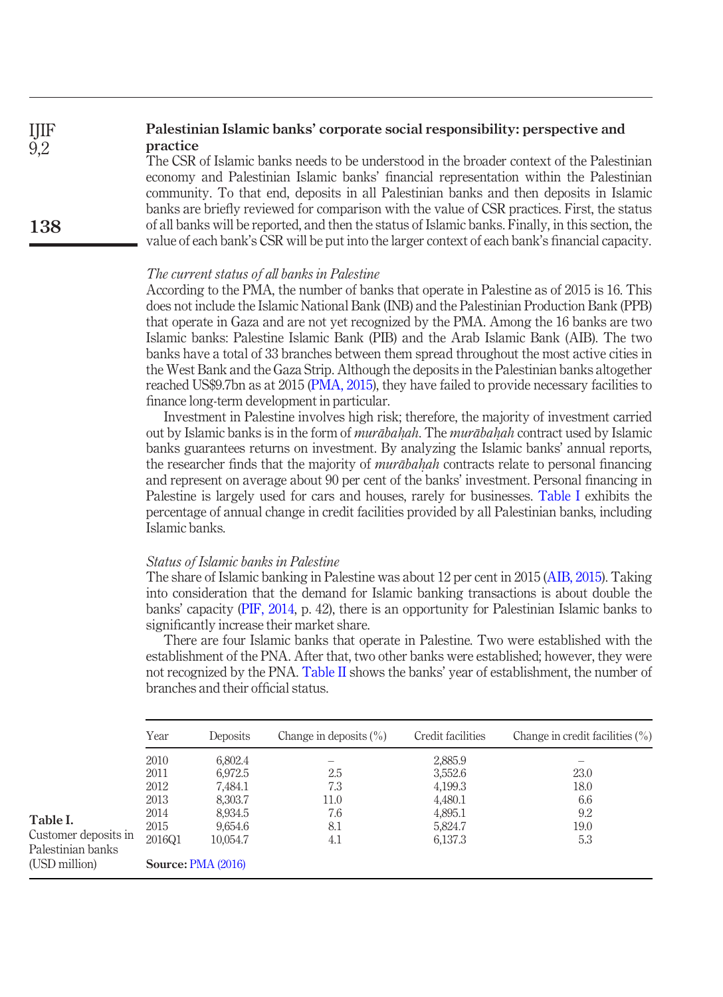#### Palestinian Islamic banks' corporate social responsibility: perspective and practice IJIF 9,2

The CSR of Islamic banks needs to be understood in the broader context of the Palestinian economy and Palestinian Islamic banks' financial representation within the Palestinian community. To that end, deposits in all Palestinian banks and then deposits in Islamic banks are briefly reviewed for comparison with the value of CSR practices. First, the status of all banks will be reported, and then the status of Islamic banks. Finally, in this section, the value of each bank's CSR will be put into the larger context of each bank's financial capacity.

# The current status of all banks in Palestine

According to the PMA, the number of banks that operate in Palestine as of 2015 is 16. This does not include the Islamic National Bank (INB) and the Palestinian Production Bank (PPB) that operate in Gaza and are not yet recognized by the PMA. Among the 16 banks are two Islamic banks: Palestine Islamic Bank (PIB) and the Arab Islamic Bank (AIB). The two banks have a total of 33 branches between them spread throughout the most active cities in the West Bank and the Gaza Strip. Although the deposits in the Palestinian banks altogether reached US\$9.7bn as at 2015 [\(PMA, 2015](#page-13-10)), they have failed to provide necessary facilities to finance long-term development in particular.

Investment in Palestine involves high risk; therefore, the majority of investment carried out by Islamic banks is in the form of *murābahah*. The *murābahah* contract used by Islamic<br>hanks guarantees returns on investment. By analyzing the Islamic banks' annual reports banks guarantees returns on investment. By analyzing the Islamic banks' annual reports, the researcher finds that the majority of *murāba hah* contracts relate to personal financing<br>and represent on average about 90 per cent of the banks' investment. Personal financing in and represent on average about 90 per cent of the banks' investment. Personal financing in Palestine is largely used for cars and houses, rarely for businesses. [Table I](#page-5-0) exhibits the percentage of annual change in credit facilities provided by all Palestinian banks, including Islamic banks.

# Status of Islamic banks in Palestine

138

The share of Islamic banking in Palestine was about 12 per cent in 2015 [\(AIB, 2015\)](#page-12-16). Taking into consideration that the demand for Islamic banking transactions is about double the banks' capacity ([PIF, 2014,](#page-13-1) p. 42), there is an opportunity for Palestinian Islamic banks to significantly increase their market share.

There are four Islamic banks that operate in Palestine. Two were established with the establishment of the PNA. After that, two other banks were established; however, they were not recognized by the PNA. [Table II](#page-6-0) shows the banks' year of establishment, the number of branches and their official status.

<span id="page-5-0"></span>

|                                                                        | Year                                                   | Deposits                                                                                                | Change in deposits $(\% )$              | Credit facilities                                                         | Change in credit facilities $(\% )$       |
|------------------------------------------------------------------------|--------------------------------------------------------|---------------------------------------------------------------------------------------------------------|-----------------------------------------|---------------------------------------------------------------------------|-------------------------------------------|
| Table I.<br>Customer deposits in<br>Palestinian banks<br>(USD million) | 2010<br>2011<br>2012<br>2013<br>2014<br>2015<br>2016Q1 | 6,802.4<br>6.972.5<br>7,484.1<br>8,303.7<br>8,934.5<br>9,654.6<br>10,054.7<br><b>Source: PMA (2016)</b> | 2.5<br>7.3<br>11.0<br>7.6<br>8.1<br>4.1 | 2,885.9<br>3,552.6<br>4,199.3<br>4,480.1<br>4,895.1<br>5,824.7<br>6,137.3 | 23.0<br>18.0<br>6.6<br>9.2<br>19.0<br>5.3 |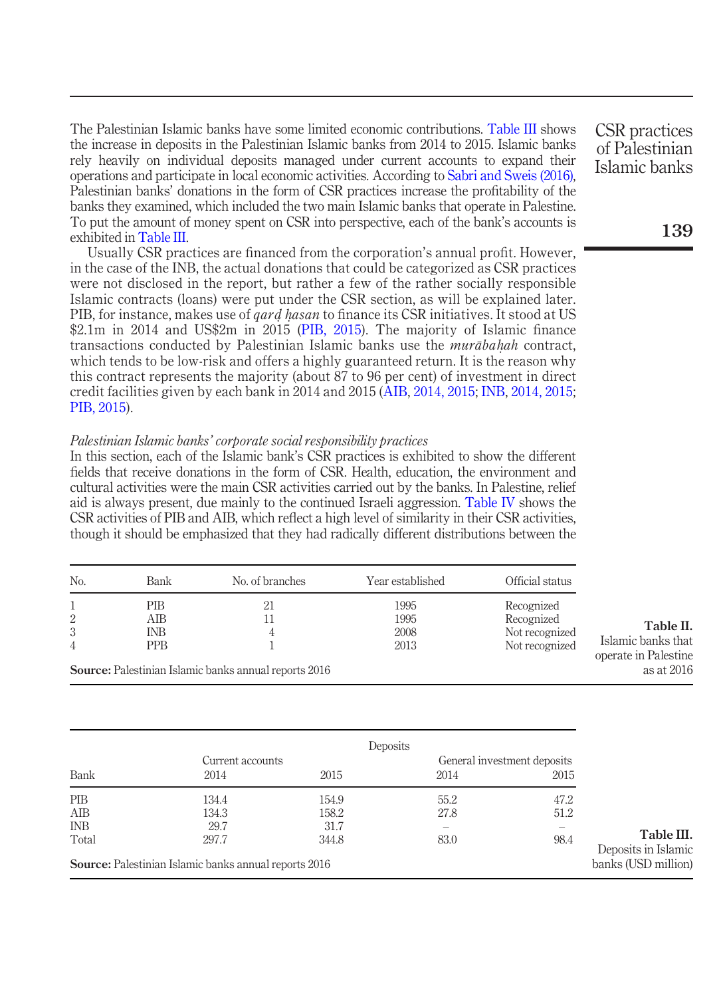The Palestinian Islamic banks have some limited economic contributions. [Table III](#page-6-1) shows the increase in deposits in the Palestinian Islamic banks from 2014 to 2015. Islamic banks rely heavily on individual deposits managed under current accounts to expand their operations and participate in local economic activities. According to [Sabri and Sweis \(2016\)](#page-13-9), Palestinian banks' donations in the form of CSR practices increase the profitability of the banks they examined, which included the two main Islamic banks that operate in Palestine. To put the amount of money spent on CSR into perspective, each of the bank's accounts is exhibited in [Table III.](#page-6-1)

Usually CSR practices are financed from the corporation's annual profit. However, in the case of the INB, the actual donations that could be categorized as CSR practices were not disclosed in the report, but rather a few of the rather socially responsible Islamic contracts (loans) were put under the CSR section, as will be explained later. PIB, for instance, makes use of *qard hasan* to finance its CSR initiatives. It stood at US<br>\$2.1m in 2014 and US\$2m in 2015 (PIB 2015). The majority of Islamic finance \$2.1m in 2014 and US\$2m in 2015 ([PIB, 2015\)](#page-13-12). The majority of Islamic finance transactions conducted by Palestinian Islamic banks use the *murābaḥah* contract, which tends to be low-risk and offers a highly guaranteed return. It is the reason why which tends to be low-risk and offers a highly guaranteed return. It is the reason why this contract represents the majority (about 87 to 96 per cent) of investment in direct credit facilities given by each bank in 2014 and 2015 ([AIB](#page-12-17), [2014, 2015;](#page-12-16) [INB,](#page-13-13) [2014, 2015](#page-13-14); [PIB, 2015](#page-13-12)).

### Palestinian Islamic banks' corporate social responsibility practices

<span id="page-6-1"></span>Bank

In this section, each of the Islamic bank's CSR practices is exhibited to show the different fields that receive donations in the form of CSR. Health, education, the environment and cultural activities were the main CSR activities carried out by the banks. In Palestine, relief aid is always present, due mainly to the continued Israeli aggression. [Table IV](#page-7-0) shows the CSR activities of PIB and AIB, which reflect a high level of similarity in their CSR activities, though it should be emphasized that they had radically different distributions between the

| No.            | Bank       | No. of branches                                              | Year established | Official status |                                            |
|----------------|------------|--------------------------------------------------------------|------------------|-----------------|--------------------------------------------|
|                | PIB        | 21                                                           | 1995             | Recognized      |                                            |
| 2              | AІB        |                                                              | 1995             | Recognized      |                                            |
| 3              | <b>INB</b> | 4                                                            | 2008             | Not recognized  | Table II.                                  |
| $\overline{4}$ | <b>PPB</b> |                                                              | 2013             | Not recognized  | Islamic banks that<br>operate in Palestine |
|                |            | <b>Source:</b> Palestinian Islamic banks annual reports 2016 |                  |                 | as at 2016                                 |

Table III. Deposits in Islamic banks (USD million) **Deposits** Current accounts General investment deposits 2014 2015 2014 2015 PIB 134.4 154.9 55.2 47.2 AIB 134.3 158.2 27.8 51.2 INB  $29.7$   $31.7$   $-$ Total 297.7 344.8 83.0 98.4 Source: Palestinian Islamic banks annual reports 2016

<span id="page-6-0"></span>CSR practices of Palestinian Islamic banks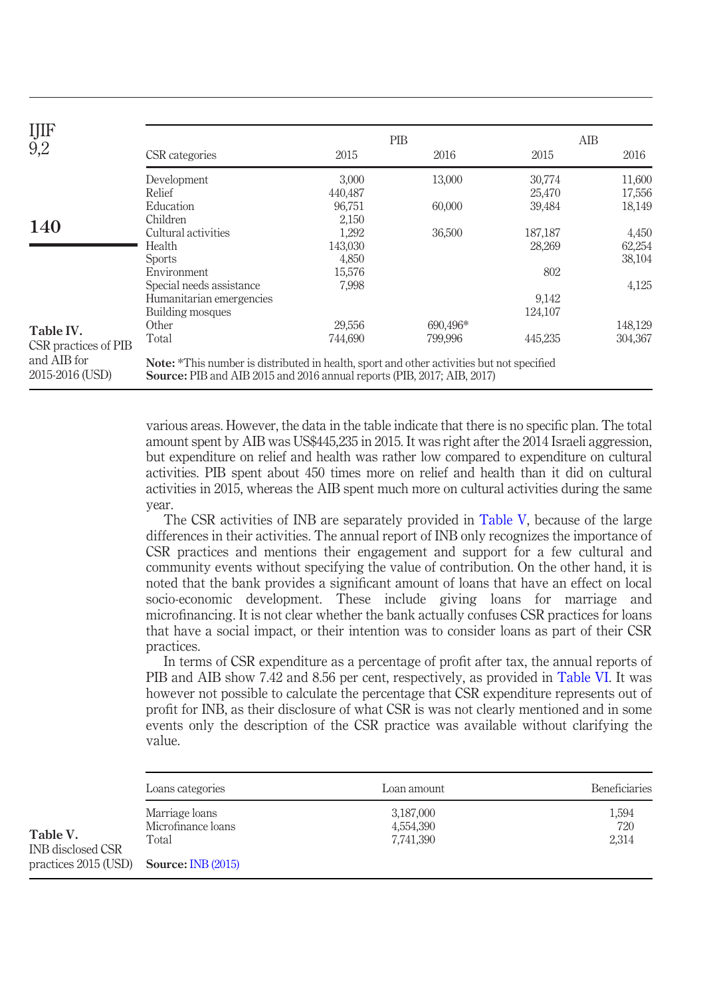| IJIF                           |                                                                                                                                                                                    | PIB     |          | AIB     |         |  |
|--------------------------------|------------------------------------------------------------------------------------------------------------------------------------------------------------------------------------|---------|----------|---------|---------|--|
| 9,2                            | CSR categories                                                                                                                                                                     | 2015    | 2016     | 2015    | 2016    |  |
|                                | Development                                                                                                                                                                        | 3,000   | 13,000   | 30,774  | 11,600  |  |
|                                | Relief                                                                                                                                                                             | 440,487 |          | 25,470  | 17,556  |  |
|                                | Education                                                                                                                                                                          | 96,751  | 60,000   | 39,484  | 18,149  |  |
|                                | Children                                                                                                                                                                           | 2,150   |          |         |         |  |
| <b>140</b>                     | Cultural activities                                                                                                                                                                | 1,292   | 36,500   | 187,187 | 4,450   |  |
|                                | Health                                                                                                                                                                             | 143,030 |          | 28,269  | 62,254  |  |
|                                | <b>Sports</b>                                                                                                                                                                      | 4,850   |          |         | 38,104  |  |
|                                | Environment                                                                                                                                                                        | 15,576  |          | 802     |         |  |
|                                | Special needs assistance                                                                                                                                                           | 7,998   |          |         | 4,125   |  |
|                                | Humanitarian emergencies                                                                                                                                                           |         |          | 9,142   |         |  |
|                                | Building mosques                                                                                                                                                                   |         |          | 124,107 |         |  |
| Table IV.                      | Other                                                                                                                                                                              | 29.556  | 690.496* |         | 148,129 |  |
| CSR practices of PIB           | Total                                                                                                                                                                              | 744,690 | 799,996  | 445,235 | 304,367 |  |
| and AIB for<br>2015-2016 (USD) | <b>Note:</b> *This number is distributed in health, sport and other activities but not specified<br><b>Source:</b> PIB and AIB 2015 and 2016 annual reports (PIB, 2017; AIB, 2017) |         |          |         |         |  |

<span id="page-7-0"></span>various areas. However, the data in the table indicate that there is no specific plan. The total amount spent by AIB was US\$445,235 in 2015. It was right after the 2014 Israeli aggression, but expenditure on relief and health was rather low compared to expenditure on cultural activities. PIB spent about 450 times more on relief and health than it did on cultural activities in 2015, whereas the AIB spent much more on cultural activities during the same year.

The CSR activities of INB are separately provided in [Table V,](#page-7-1) because of the large differences in their activities. The annual report of INB only recognizes the importance of CSR practices and mentions their engagement and support for a few cultural and community events without specifying the value of contribution. On the other hand, it is noted that the bank provides a significant amount of loans that have an effect on local socio-economic development. These include giving loans for marriage and microfinancing. It is not clear whether the bank actually confuses CSR practices for loans that have a social impact, or their intention was to consider loans as part of their CSR practices.

In terms of CSR expenditure as a percentage of profit after tax, the annual reports of PIB and AIB show 7.42 and 8.56 per cent, respectively, as provided in [Table VI.](#page-8-0) It was however not possible to calculate the percentage that CSR expenditure represents out of profit for INB, as their disclosure of what CSR is was not clearly mentioned and in some events only the description of the CSR practice was available without clarifying the value.

<span id="page-7-1"></span>

|                               | Loans categories                              | Loan amount                         | <b>Beneficiaries</b>  |
|-------------------------------|-----------------------------------------------|-------------------------------------|-----------------------|
| Table V.<br>INB disclosed CSR | Marriage loans<br>Microfinance loans<br>Total | 3,187,000<br>4,554,390<br>7,741,390 | 1,594<br>720<br>2,314 |
| practices 2015 (USD)          | <b>Source: INB (2015)</b>                     |                                     |                       |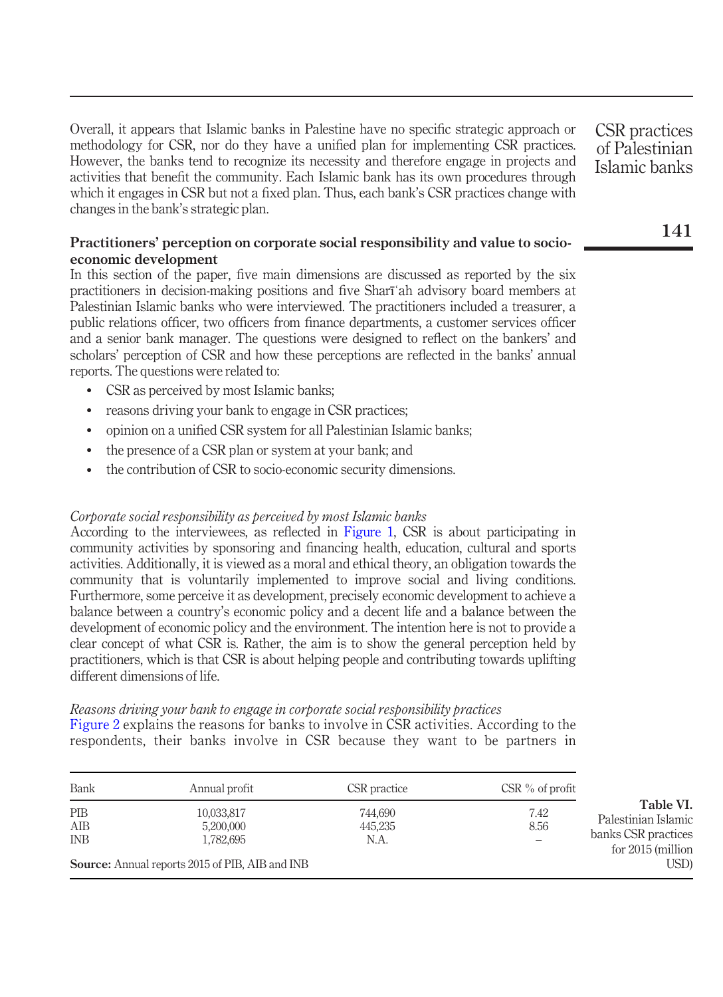Overall, it appears that Islamic banks in Palestine have no specific strategic approach or methodology for CSR, nor do they have a unified plan for implementing CSR practices. However, the banks tend to recognize its necessity and therefore engage in projects and activities that benefit the community. Each Islamic bank has its own procedures through which it engages in CSR but not a fixed plan. Thus, each bank's CSR practices change with changes in the bank's strategic plan.

# Practitioners' perception on corporate social responsibility and value to socioeconomic development

In this section of the paper, five main dimensions are discussed as reported by the six practitioners in decision-making positions and five Sharīʿah advisory board members at Palestinian Islamic banks who were interviewed. The practitioners included a treasurer, a public relations officer, two officers from finance departments, a customer services officer and a senior bank manager. The questions were designed to reflect on the bankers' and scholars' perception of CSR and how these perceptions are reflected in the banks' annual reports. The questions were related to:

- CSR as perceived by most Islamic banks;
- reasons driving your bank to engage in CSR practices;
- opinion on a unified CSR system for all Palestinian Islamic banks;
- the presence of a CSR plan or system at your bank; and
- the contribution of CSR to socio-economic security dimensions.

# Corporate social responsibility as perceived by most Islamic banks

According to the interviewees, as reflected in [Figure 1,](#page-9-0) CSR is about participating in community activities by sponsoring and financing health, education, cultural and sports activities. Additionally, it is viewed as a moral and ethical theory, an obligation towards the community that is voluntarily implemented to improve social and living conditions. Furthermore, some perceive it as development, precisely economic development to achieve a balance between a country's economic policy and a decent life and a balance between the development of economic policy and the environment. The intention here is not to provide a clear concept of what CSR is. Rather, the aim is to show the general perception held by practitioners, which is that CSR is about helping people and contributing towards uplifting different dimensions of life.

# Reasons driving your bank to engage in corporate social responsibility practices

[Figure 2](#page-9-1) explains the reasons for banks to involve in CSR activities. According to the respondents, their banks involve in CSR because they want to be partners in

<span id="page-8-0"></span>

| Bank              | Annual profit                                                                                  | CSR practice               | $CSR$ % of profit |                                                                                        |
|-------------------|------------------------------------------------------------------------------------------------|----------------------------|-------------------|----------------------------------------------------------------------------------------|
| PIB<br>AIB<br>INB | 10,033,817<br>5,200,000<br>1,782,695<br><b>Source:</b> Annual reports 2015 of PIB, AIB and INB | 744.690<br>445.235<br>N.A. | 7.42<br>8.56      | Table VI.<br>Palestinian Islamic<br>banks CSR practices<br>for $2015$ (million<br>USD) |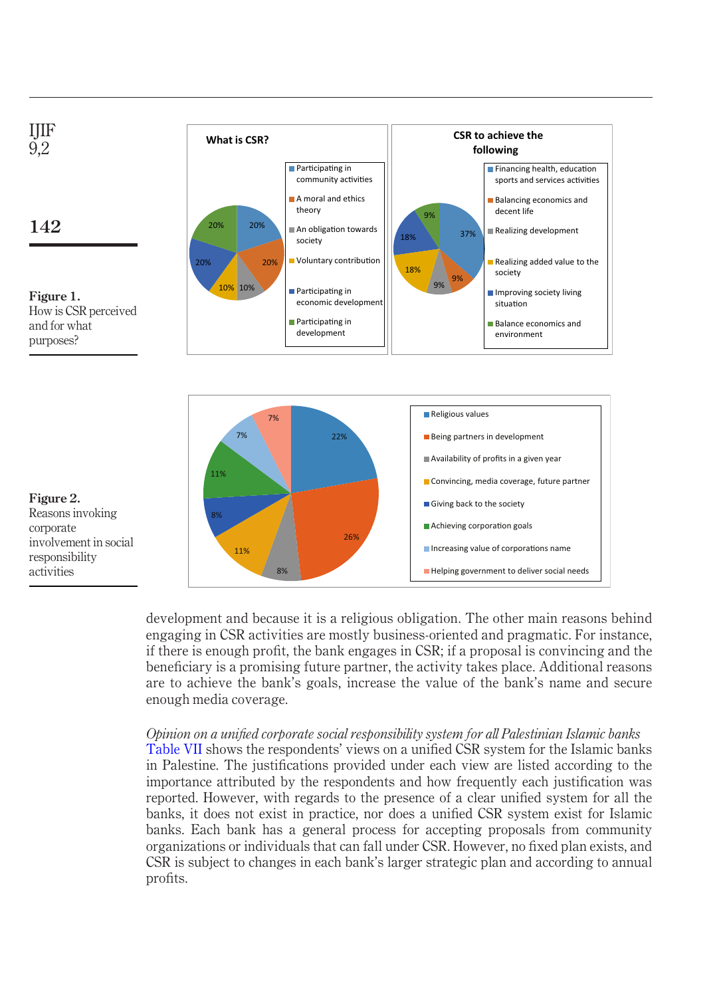

<span id="page-9-0"></span>

development and because it is a religious obligation. The other main reasons behind engaging in CSR activities are mostly business-oriented and pragmatic. For instance, if there is enough profit, the bank engages in CSR; if a proposal is convincing and the beneficiary is a promising future partner, the activity takes place. Additional reasons are to achieve the bank's goals, increase the value of the bank's name and secure enough media coverage.

Opinion on a unified corporate social responsibility system for all Palestinian Islamic banks [Table VII](#page-10-0) shows the respondents' views on a unified CSR system for the Islamic banks in Palestine. The justifications provided under each view are listed according to the importance attributed by the respondents and how frequently each justification was reported. However, with regards to the presence of a clear unified system for all the banks, it does not exist in practice, nor does a unified CSR system exist for Islamic banks. Each bank has a general process for accepting proposals from community organizations or individuals that can fall under CSR. However, no fixed plan exists, and CSR is subject to changes in each bank's larger strategic plan and according to annual profits.

<span id="page-9-1"></span>Figure 2. Reasons invoking corporate involvement in social responsibility activities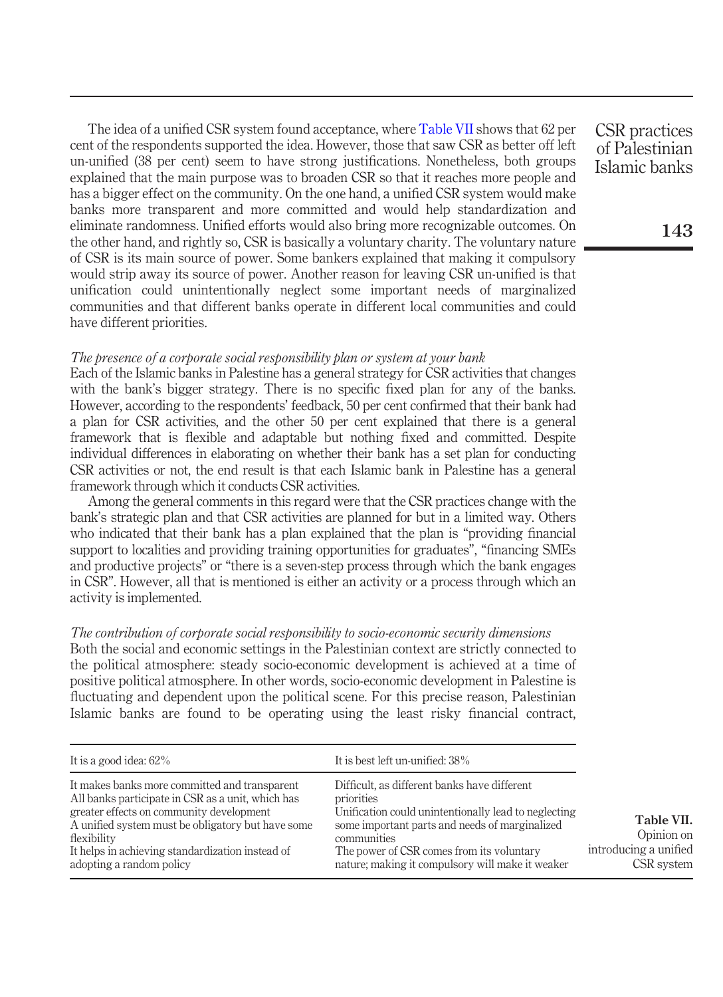The idea of a unified CSR system found acceptance, where [Table VII](#page-10-0) shows that 62 per cent of the respondents supported the idea. However, those that saw CSR as better off left un-unified (38 per cent) seem to have strong justifications. Nonetheless, both groups explained that the main purpose was to broaden CSR so that it reaches more people and has a bigger effect on the community. On the one hand, a unified CSR system would make banks more transparent and more committed and would help standardization and eliminate randomness. Unified efforts would also bring more recognizable outcomes. On the other hand, and rightly so, CSR is basically a voluntary charity. The voluntary nature of CSR is its main source of power. Some bankers explained that making it compulsory would strip away its source of power. Another reason for leaving CSR un-unified is that unification could unintentionally neglect some important needs of marginalized communities and that different banks operate in different local communities and could have different priorities.

# The presence of a corporate social responsibility plan or system at your bank

Each of the Islamic banks in Palestine has a general strategy for CSR activities that changes with the bank's bigger strategy. There is no specific fixed plan for any of the banks. However, according to the respondents' feedback, 50 per cent confirmed that their bank had a plan for CSR activities, and the other 50 per cent explained that there is a general framework that is flexible and adaptable but nothing fixed and committed. Despite individual differences in elaborating on whether their bank has a set plan for conducting CSR activities or not, the end result is that each Islamic bank in Palestine has a general framework through which it conducts CSR activities.

Among the general comments in this regard were that the CSR practices change with the bank's strategic plan and that CSR activities are planned for but in a limited way. Others who indicated that their bank has a plan explained that the plan is "providing financial support to localities and providing training opportunities for graduates", "financing SMEs and productive projects" or "there is a seven-step process through which the bank engages in CSR". However, all that is mentioned is either an activity or a process through which an activity is implemented.

# The contribution of corporate social responsibility to socio-economic security dimensions

Both the social and economic settings in the Palestinian context are strictly connected to the political atmosphere: steady socio-economic development is achieved at a time of positive political atmosphere. In other words, socio-economic development in Palestine is fluctuating and dependent upon the political scene. For this precise reason, Palestinian Islamic banks are found to be operating using the least risky financial contract,

<span id="page-10-0"></span>

| It is a good idea: $62\%$                                                                                                                                                                                                                                                                          | It is best left un-unified: 38%                                                                                                                                                                                                                                                      |                                                                 |
|----------------------------------------------------------------------------------------------------------------------------------------------------------------------------------------------------------------------------------------------------------------------------------------------------|--------------------------------------------------------------------------------------------------------------------------------------------------------------------------------------------------------------------------------------------------------------------------------------|-----------------------------------------------------------------|
| It makes banks more committed and transparent<br>All banks participate in CSR as a unit, which has<br>greater effects on community development<br>A unified system must be obligatory but have some<br>flexibility<br>It helps in achieving standardization instead of<br>adopting a random policy | Difficult, as different banks have different<br>priorities<br>Unification could unintentionally lead to neglecting<br>some important parts and needs of marginalized<br>communities<br>The power of CSR comes from its voluntary<br>nature; making it compulsory will make it weaker | Table VII.<br>Opinion on<br>introducing a unified<br>CSR system |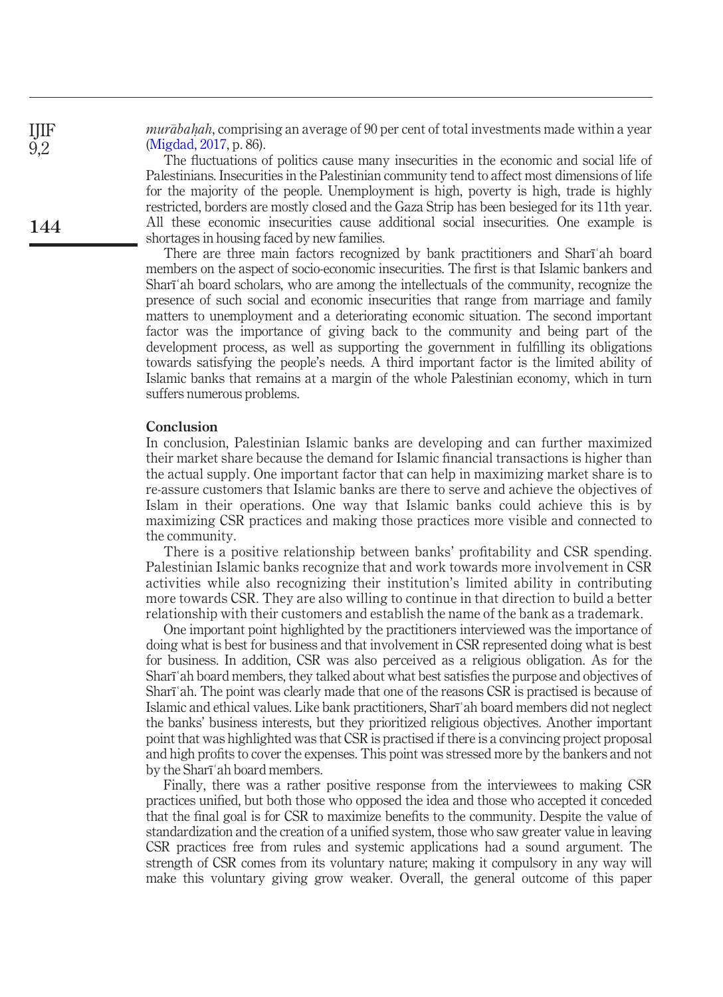*murābaḥah*, comprising an average of 90 per cent of total investments made within a year<br>(Migdad, 2017, p. 86) [\(Migdad, 2017,](#page-13-15) p. 86).

The fluctuations of politics cause many insecurities in the economic and social life of Palestinians. Insecurities in the Palestinian community tend to affect most dimensions of life for the majority of the people. Unemployment is high, poverty is high, trade is highly restricted, borders are mostly closed and the Gaza Strip has been besieged for its 11th year. All these economic insecurities cause additional social insecurities. One example is shortages in housing faced by new families.

There are three main factors recognized by bank practitioners and Sharīʿah board members on the aspect of socio-economic insecurities. The first is that Islamic bankers and Sharīʿah board scholars, who are among the intellectuals of the community, recognize the presence of such social and economic insecurities that range from marriage and family matters to unemployment and a deteriorating economic situation. The second important factor was the importance of giving back to the community and being part of the development process, as well as supporting the government in fulfilling its obligations towards satisfying the people's needs. A third important factor is the limited ability of Islamic banks that remains at a margin of the whole Palestinian economy, which in turn suffers numerous problems.

# Conclusion

In conclusion, Palestinian Islamic banks are developing and can further maximized their market share because the demand for Islamic financial transactions is higher than the actual supply. One important factor that can help in maximizing market share is to re-assure customers that Islamic banks are there to serve and achieve the objectives of Islam in their operations. One way that Islamic banks could achieve this is by maximizing CSR practices and making those practices more visible and connected to the community.

There is a positive relationship between banks' profitability and CSR spending. Palestinian Islamic banks recognize that and work towards more involvement in CSR activities while also recognizing their institution's limited ability in contributing more towards CSR. They are also willing to continue in that direction to build a better relationship with their customers and establish the name of the bank as a trademark.

One important point highlighted by the practitioners interviewed was the importance of doing what is best for business and that involvement in CSR represented doing what is best for business. In addition, CSR was also perceived as a religious obligation. As for the Sharīʿah board members, they talked about what best satisfies the purpose and objectives of Sharīʿah. The point was clearly made that one of the reasons CSR is practised is because of Islamic and ethical values. Like bank practitioners, Sharīʿah board members did not neglect the banks' business interests, but they prioritized religious objectives. Another important point that was highlighted was that CSR is practised if there is a convincing project proposal and high profits to cover the expenses. This point was stressed more by the bankers and not by the Sharīʿah board members.

Finally, there was a rather positive response from the interviewees to making CSR practices unified, but both those who opposed the idea and those who accepted it conceded that the final goal is for CSR to maximize benefits to the community. Despite the value of standardization and the creation of a unified system, those who saw greater value in leaving CSR practices free from rules and systemic applications had a sound argument. The strength of CSR comes from its voluntary nature; making it compulsory in any way will make this voluntary giving grow weaker. Overall, the general outcome of this paper

144

IJIF 9,2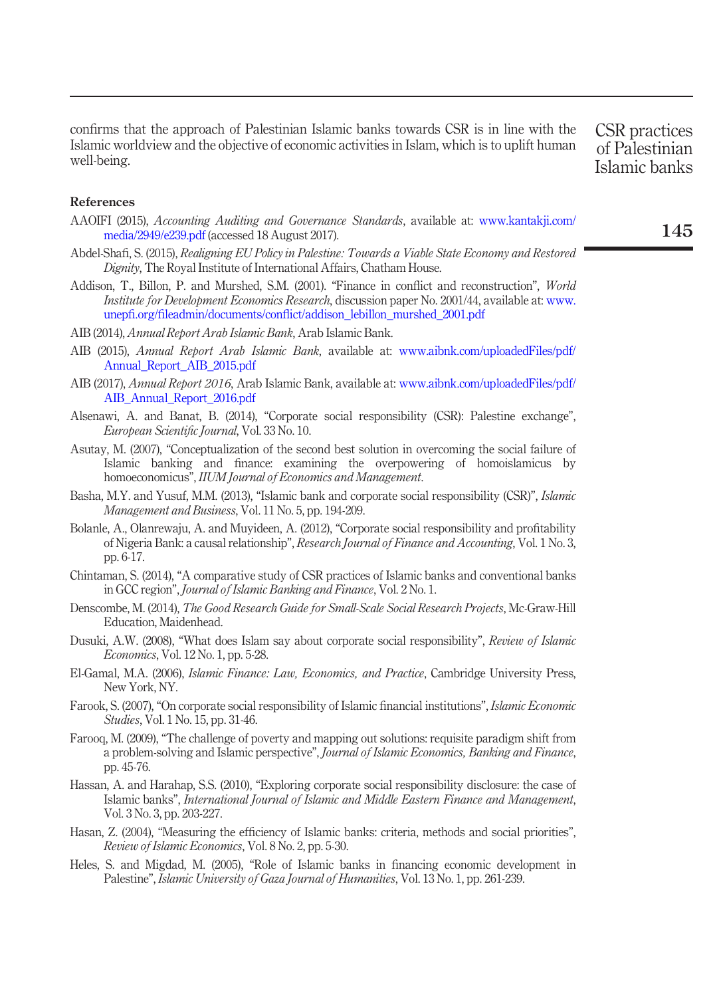confirms that the approach of Palestinian Islamic banks towards CSR is in line with the Islamic worldview and the objective of economic activities in Islam, which is to uplift human well-being.

CSR practices of Palestinian Islamic banks

#### References

- <span id="page-12-12"></span>AAOIFI (2015), Accounting Auditing and Governance Standards, available at: [www.kantakji.com/](http://www.kantakji.com/media/2949/e239.pdf) [media/2949/e239.pdf](http://www.kantakji.com/media/2949/e239.pdf) (accessed 18 August 2017).
- <span id="page-12-4"></span>Abdel-Shafi, S. (2015), Realigning EU Policy in Palestine: Towards a Viable State Economy and Restored Dignity, The Royal Institute of International Affairs, Chatham House.
- <span id="page-12-3"></span>Addison, T., Billon, P. and Murshed, S.M. (2001). "Finance in conflict and reconstruction", World Institute for Development Economics Research, discussion paper No. 2001/44, available at: [www.](www.unepfi.org/fileadmin/documents/conflict/addison_lebillon_murshed_2001.pdf) unepfi.org/fileadmin/documents/confl[ict/addison\\_lebillon\\_murshed\\_2001.pdf](www.unepfi.org/fileadmin/documents/conflict/addison_lebillon_murshed_2001.pdf)
- <span id="page-12-17"></span>AIB (2014), Annual Report Arab Islamic Bank, Arab Islamic Bank.
- <span id="page-12-16"></span>AIB (2015), Annual Report Arab Islamic Bank, available at: [www.aibnk.com/uploadedFiles/pdf/](http://www.aibnk.com/uploadedFiles/pdf/Annual_Report_AIB_2015.pdf) [Annual\\_Report\\_AIB\\_2015.pdf](http://www.aibnk.com/uploadedFiles/pdf/Annual_Report_AIB_2015.pdf)
- AIB (2017), Annual Report 2016, Arab Islamic Bank, available at: [www.aibnk.com/uploadedFiles/pdf/](http://www.aibnk.com/uploadedFiles/pdf/AIB_Annual_Report_2016.pdf) [AIB\\_Annual\\_Report\\_2016.pdf](http://www.aibnk.com/uploadedFiles/pdf/AIB_Annual_Report_2016.pdf)
- <span id="page-12-13"></span>Alsenawi, A. and Banat, B. (2014), "Corporate social responsibility (CSR): Palestine exchange", European Scientific Journal, Vol. 33 No. 10.
- <span id="page-12-1"></span>Asutay, M. (2007), "Conceptualization of the second best solution in overcoming the social failure of Islamic banking and finance: examining the overpowering of homoislamicus by homoeconomicus", IIUM Journal of Economics and Management.
- <span id="page-12-9"></span>Basha, M.Y. and Yusuf, M.M. (2013), "Islamic bank and corporate social responsibility (CSR)", Islamic Management and Business, Vol. 11 No. 5, pp. 194-209.
- <span id="page-12-7"></span>Bolanle, A., Olanrewaju, A. and Muyideen, A. (2012), "Corporate social responsibility and profitability of Nigeria Bank: a causal relationship", Research Journal of Finance and Accounting, Vol. 1 No. 3, pp. 6-17.
- <span id="page-12-6"></span>Chintaman, S. (2014), "A comparative study of CSR practices of Islamic banks and conventional banks in GCC region", Journal of Islamic Banking and Finance, Vol. 2 No. 1.
- <span id="page-12-14"></span>Denscombe, M. (2014), The Good Research Guide for Small-Scale Social Research Projects, Mc-Graw-Hill Education, Maidenhead.
- <span id="page-12-5"></span>Dusuki, A.W. (2008), "What does Islam say about corporate social responsibility", Review of Islamic Economics, Vol. 12 No. 1, pp. 5-28.
- <span id="page-12-8"></span>El-Gamal, M.A. (2006), Islamic Finance: Law, Economics, and Practice, Cambridge University Press, New York, NY.
- <span id="page-12-11"></span>Farook, S. (2007), "On corporate social responsibility of Islamic financial institutions", Islamic Economic Studies, Vol. 1 No. 15, pp. 31-46.
- <span id="page-12-2"></span>Farooq, M. (2009), "The challenge of poverty and mapping out solutions: requisite paradigm shift from a problem-solving and Islamic perspective", Journal of Islamic Economics, Banking and Finance, pp. 45-76.
- <span id="page-12-10"></span>Hassan, A. and Harahap, S.S. (2010), "Exploring corporate social responsibility disclosure: the case of Islamic banks", International Journal of Islamic and Middle Eastern Finance and Management, Vol. 3 No. 3, pp. 203-227.
- <span id="page-12-15"></span>Hasan, Z. (2004), "Measuring the efficiency of Islamic banks: criteria, methods and social priorities", Review of Islamic Economics, Vol. 8 No. 2, pp. 5-30.
- <span id="page-12-0"></span>Heles, S. and Migdad, M. (2005), "Role of Islamic banks in financing economic development in Palestine", Islamic University of Gaza Journal of Humanities, Vol. 13 No. 1, pp. 261-239.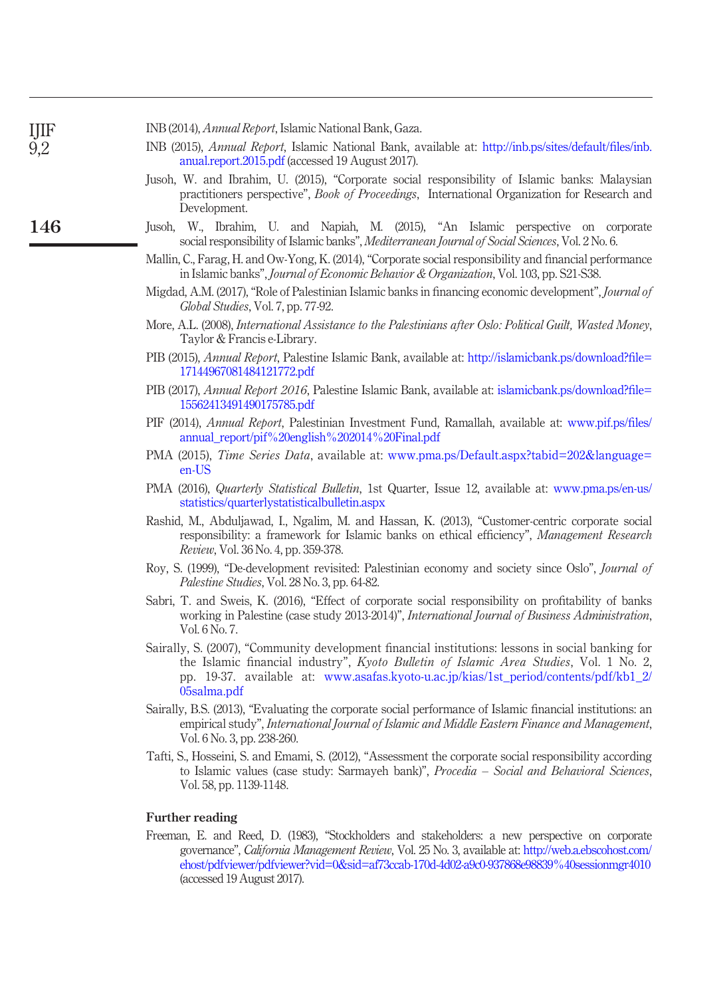| INB (2014), <i>Annual Report</i> , Islamic National Bank, Gaza. |  |
|-----------------------------------------------------------------|--|
|-----------------------------------------------------------------|--|

IJIF 9,2

146

- <span id="page-13-14"></span><span id="page-13-13"></span><span id="page-13-0"></span>INB (2015), Annual Report, Islamic National Bank, available at: [http://inb.ps/sites/default/](http://inb.ps/sites/default/files/inb.anual.report.2015.pdf)files/inb. [anual.report.2015.pdf](http://inb.ps/sites/default/files/inb.anual.report.2015.pdf) (accessed 19 August 2017).
	- Jusoh, W. and Ibrahim, U. (2015), "Corporate social responsibility of Islamic banks: Malaysian practitioners perspective", Book of Proceedings, International Organization for Research and Development.
- <span id="page-13-15"></span><span id="page-13-12"></span><span id="page-13-11"></span><span id="page-13-10"></span><span id="page-13-8"></span><span id="page-13-5"></span><span id="page-13-3"></span><span id="page-13-2"></span><span id="page-13-1"></span>Jusoh, W., Ibrahim, U. and Napiah, M. (2015), "An Islamic perspective on corporate social responsibility of Islamic banks", Mediterranean Journal of Social Sciences, Vol. 2 No. 6.
	- Mallin, C., Farag, H. and Ow-Yong, K. (2014), "Corporate social responsibility and financial performance in Islamic banks", Journal of Economic Behavior & Organization, Vol. 103, pp. S21-S38.
	- Migdad, A.M. (2017),"Role of Palestinian Islamic banks in financing economic development", Journal of Global Studies, Vol. 7, pp. 77-92.
	- More, A.L. (2008), International Assistance to the Palestinians after Oslo: Political Guilt, Wasted Money, Taylor & Francis e-Library.
	- PIB (2015), Annual Report, Palestine Islamic Bank, available at: [http://islamicbank.ps/download?](http://islamicbank.ps/download?file=17144967081484121772.pdf)file= [17144967081484121772.pdf](http://islamicbank.ps/download?file=17144967081484121772.pdf)
	- PIB (2017), Annual Report 2016, Palestine Islamic Bank, available at: [islamicbank.ps/download?](http://islamicbank.ps/download?file=15562413491490175785.pdf)file= [15562413491490175785.pdf](http://islamicbank.ps/download?file=15562413491490175785.pdf)
	- PIF (2014), Annual Report, Palestinian Investment Fund, Ramallah, available at: [www.pif.ps/](http://www.pif.ps/files/annual_report/pif&hx0025;20english&hx0025;202014&hx0025;20Final.pdf)files/ [annual\\_report/pif%20english%202014%20Final.pdf](http://www.pif.ps/files/annual_report/pif&hx0025;20english&hx0025;202014&hx0025;20Final.pdf)
	- PMA (2015), Time Series Data, available at: [www.pma.ps/Default.aspx?tabid=202&language=](http://www.pma.ps/Default.aspx?tabid=202&language=en-US) [en-US](http://www.pma.ps/Default.aspx?tabid=202&language=en-US)
	- PMA (2016), Quarterly Statistical Bulletin, 1st Quarter, Issue 12, available at: [www.pma.ps/en-us/](http://www.pma.ps/en-us/statistics/quarterlystatisticalbulletin.aspx) [statistics/quarterlystatisticalbulletin.aspx](http://www.pma.ps/en-us/statistics/quarterlystatisticalbulletin.aspx)
	- Rashid, M., Abduljawad, I., Ngalim, M. and Hassan, K. (2013), "Customer-centric corporate social responsibility: a framework for Islamic banks on ethical efficiency", Management Research Review, Vol. 36 No. 4, pp. 359-378.
	- Roy, S. (1999), "De-development revisited: Palestinian economy and society since Oslo", Journal of Palestine Studies, Vol. 28 No. 3, pp. 64-82.
	- Sabri, T. and Sweis, K. (2016), "Effect of corporate social responsibility on profitability of banks working in Palestine (case study 2013-2014)", *International Journal of Business Administration*, Vol. 6 No. 7.
	- Sairally, S. (2007), "Community development financial institutions: lessons in social banking for the Islamic financial industry", Kyoto Bulletin of Islamic Area Studies, Vol. 1 No. 2, pp. 19-37. available at: [www.asafas.kyoto-u.ac.jp/kias/1st\\_period/contents/pdf/kb1\\_2/](http://www.asafas.kyoto-u.ac.jp/kias/1st_period/contents/pdf/kb1_2/05salma.pdf) [05salma.pdf](http://www.asafas.kyoto-u.ac.jp/kias/1st_period/contents/pdf/kb1_2/05salma.pdf)
	- Sairally, B.S. (2013), "Evaluating the corporate social performance of Islamic financial institutions: an empirical study", International Journal of Islamic and Middle Eastern Finance and Management, Vol. 6 No. 3, pp. 238-260.
	- Tafti, S., Hosseini, S. and Emami, S. (2012), "Assessment the corporate social responsibility according to Islamic values (case study: Sarmayeh bank)", Procedia – Social and Behavioral Sciences, Vol. 58, pp. 1139-1148.

#### <span id="page-13-9"></span><span id="page-13-7"></span><span id="page-13-6"></span><span id="page-13-4"></span>Further reading

Freeman, E. and Reed, D. (1983), "Stockholders and stakeholders: a new perspective on corporate governance", California Management Review, Vol. 25 No. 3, available at: [http://web.a.ebscohost.com/](http://web.a.ebscohost.com/ehost/pdfviewer/pdfviewer?vid=0&sid=af73ccab-170d-4d02-a9c0-937868e98839&hx0025;40sessionmgr4010) [ehost/pdfviewer/pdfviewer?vid=0&sid=af73ccab-170d-4d02-a9c0-937868e98839%40sessionmgr4010](http://web.a.ebscohost.com/ehost/pdfviewer/pdfviewer?vid=0&sid=af73ccab-170d-4d02-a9c0-937868e98839&hx0025;40sessionmgr4010) (accessed 19 August 2017).